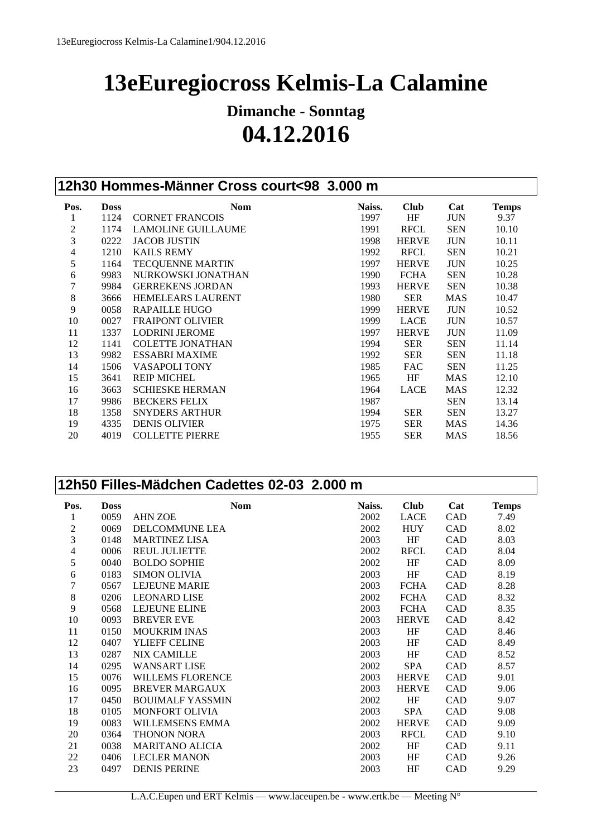# **13eEuregiocross Kelmis-La Calamine**

## **Dimanche - Sonntag 04.12.2016**

|                |             | 12h30 Hommes-Männer Cross court<98 3.000 m |        |              |            |              |
|----------------|-------------|--------------------------------------------|--------|--------------|------------|--------------|
| Pos.           | <b>Doss</b> | <b>Nom</b>                                 | Naiss. | <b>Club</b>  | Cat        | <b>Temps</b> |
| $\mathbf{1}$   | 1124        | <b>CORNET FRANCOIS</b>                     | 1997   | HF           | <b>JUN</b> | 9.37         |
| $\mathbf{2}$   | 1174        | <b>LAMOLINE GUILLAUME</b>                  | 1991   | <b>RFCL</b>  | <b>SEN</b> | 10.10        |
| $\overline{3}$ | 0222        | <b>JACOB JUSTIN</b>                        | 1998   | <b>HERVE</b> | <b>JUN</b> | 10.11        |
| $\overline{4}$ | 1210        | <b>KAILS REMY</b>                          | 1992   | <b>RFCL</b>  | <b>SEN</b> | 10.21        |
| 5              | 1164        | <b>TECQUENNE MARTIN</b>                    | 1997   | <b>HERVE</b> | <b>JUN</b> | 10.25        |
| $\epsilon$     | 9983        | NURKOWSKI JONATHAN                         | 1990   | <b>FCHA</b>  | <b>SEN</b> | 10.28        |
| $\overline{7}$ | 9984        | <b>GERREKENS JORDAN</b>                    | 1993   | <b>HERVE</b> | <b>SEN</b> | 10.38        |
| 8              | 3666        | <b>HEMELEARS LAURENT</b>                   | 1980   | <b>SER</b>   | <b>MAS</b> | 10.47        |
| 9              | 0058        | <b>RAPAILLE HUGO</b>                       | 1999   | <b>HERVE</b> | <b>JUN</b> | 10.52        |
| 10             | 0027        | <b>FRAIPONT OLIVIER</b>                    | 1999   | LACE         | <b>JUN</b> | 10.57        |
| 11             | 1337        | <b>LODRINI JEROME</b>                      | 1997   | <b>HERVE</b> | <b>JUN</b> | 11.09        |
| 12             | 1141        | <b>COLETTE JONATHAN</b>                    | 1994   | <b>SER</b>   | <b>SEN</b> | 11.14        |
| 13             | 9982        | <b>ESSABRI MAXIME</b>                      | 1992   | <b>SER</b>   | <b>SEN</b> | 11.18        |
| 14             | 1506        | <b>VASAPOLI TONY</b>                       | 1985   | <b>FAC</b>   | <b>SEN</b> | 11.25        |
| 15             | 3641        | <b>REIP MICHEL</b>                         | 1965   | HF           | <b>MAS</b> | 12.10        |
| 16             | 3663        | <b>SCHIESKE HERMAN</b>                     | 1964   | <b>LACE</b>  | <b>MAS</b> | 12.32        |
| 17             | 9986        | <b>BECKERS FELIX</b>                       | 1987   |              | <b>SEN</b> | 13.14        |
| 18             | 1358        | <b>SNYDERS ARTHUR</b>                      | 1994   | <b>SER</b>   | <b>SEN</b> | 13.27        |
| 19             | 4335        | <b>DENIS OLIVIER</b>                       | 1975   | <b>SER</b>   | <b>MAS</b> | 14.36        |
| 20             | 4019        | <b>COLLETTE PIERRE</b>                     | 1955   | <b>SER</b>   | MAS        | 18.56        |

#### **12h50 Filles-Mädchen Cadettes 02-03 2.000 m**

| Pos. | <b>Doss</b> | <b>Nom</b>              | Naiss. | <b>Club</b>  | Cat        | <b>Temps</b> |
|------|-------------|-------------------------|--------|--------------|------------|--------------|
| 1    | 0059        | <b>AHN ZOE</b>          | 2002   | <b>LACE</b>  | CAD        | 7.49         |
| 2    | 0069        | <b>DELCOMMUNE LEA</b>   | 2002   | <b>HUY</b>   | CAD        | 8.02         |
| 3    | 0148        | <b>MARTINEZ LISA</b>    | 2003   | HF           | CAD        | 8.03         |
| 4    | 0006        | <b>REUL JULIETTE</b>    | 2002   | <b>RFCL</b>  | CAD        | 8.04         |
| 5    | 0040        | <b>BOLDO SOPHIE</b>     | 2002   | HF           | CAD        | 8.09         |
| 6    | 0183        | <b>SIMON OLIVIA</b>     | 2003   | HF           | CAD        | 8.19         |
| 7    | 0567        | <b>LEJEUNE MARIE</b>    | 2003   | <b>FCHA</b>  | CAD        | 8.28         |
| 8    | 0206        | <b>LEONARD LISE</b>     | 2002   | <b>FCHA</b>  | CAD        | 8.32         |
| 9    | 0568        | <b>LEJEUNE ELINE</b>    | 2003   | <b>FCHA</b>  | CAD        | 8.35         |
| 10   | 0093        | <b>BREVER EVE</b>       | 2003   | <b>HERVE</b> | <b>CAD</b> | 8.42         |
| 11   | 0150        | <b>MOUKRIM INAS</b>     | 2003   | HF           | CAD        | 8.46         |
| 12   | 0407        | YLIEFF CELINE           | 2003   | HF           | CAD        | 8.49         |
| 13   | 0287        | <b>NIX CAMILLE</b>      | 2003   | HF           | CAD        | 8.52         |
| 14   | 0295        | <b>WANSART LISE</b>     | 2002   | <b>SPA</b>   | CAD        | 8.57         |
| 15   | 0076        | <b>WILLEMS FLORENCE</b> | 2003   | <b>HERVE</b> | CAD        | 9.01         |
| 16   | 0095        | <b>BREVER MARGAUX</b>   | 2003   | <b>HERVE</b> | CAD        | 9.06         |
| 17   | 0450        | <b>BOUIMALF YASSMIN</b> | 2002   | HF           | CAD        | 9.07         |
| 18   | 0105        | <b>MONFORT OLIVIA</b>   | 2003   | <b>SPA</b>   | CAD        | 9.08         |
| 19   | 0083        | <b>WILLEMSENS EMMA</b>  | 2002   | <b>HERVE</b> | CAD        | 9.09         |
| 20   | 0364        | THONON NORA             | 2003   | <b>RFCL</b>  | CAD        | 9.10         |
| 21   | 0038        | <b>MARITANO ALICIA</b>  | 2002   | HF           | CAD        | 9.11         |
| 22   | 0406        | <b>LECLER MANON</b>     | 2003   | HF           | CAD        | 9.26         |
| 23   | 0497        | <b>DENIS PERINE</b>     | 2003   | HF           | CAD        | 9.29         |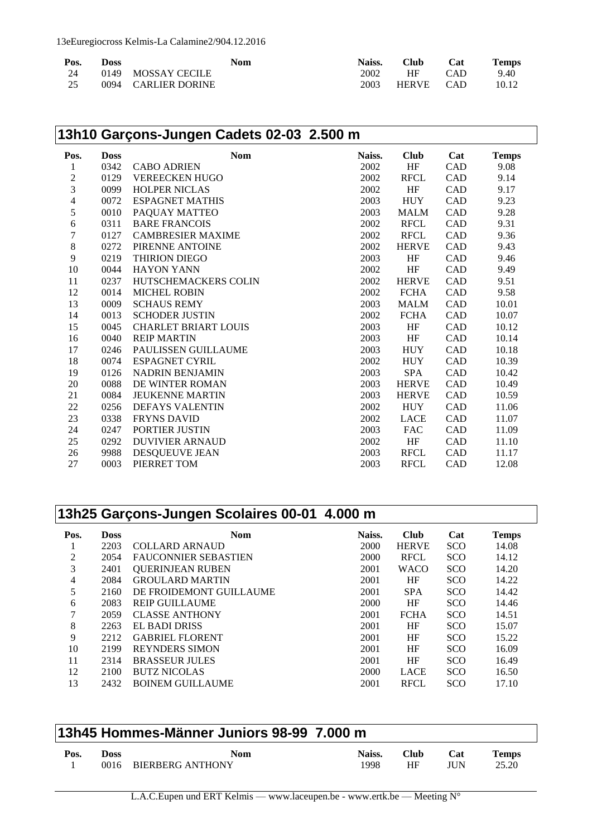| Pos. | Doss | <b>Nom</b>          | Naiss. | <b>Club</b> | Cat        | <b>Temps</b> |
|------|------|---------------------|--------|-------------|------------|--------------|
| -24  |      | 0149 MOSSAY CECILE  | 2002   | HF          | <b>CAD</b> | 9.40         |
| -25  |      | 0094 CARLIER DORINE | 2003   | HERVE CAD   |            | 10.12        |

|                  |             | 13h10 Garçons-Jungen Cadets 02-03 2.500 m |        |              |     |              |
|------------------|-------------|-------------------------------------------|--------|--------------|-----|--------------|
| Pos.             | <b>Doss</b> | <b>Nom</b>                                | Naiss. | <b>Club</b>  | Cat | <b>Temps</b> |
| 1                | 0342        | <b>CABO ADRIEN</b>                        | 2002   | HF           | CAD | 9.08         |
| $\boldsymbol{2}$ | 0129        | <b>VEREECKEN HUGO</b>                     | 2002   | <b>RFCL</b>  | CAD | 9.14         |
| 3                | 0099        | <b>HOLPER NICLAS</b>                      | 2002   | HF           | CAD | 9.17         |
| 4                | 0072        | <b>ESPAGNET MATHIS</b>                    | 2003   | <b>HUY</b>   | CAD | 9.23         |
| 5                | 0010        | PAQUAY MATTEO                             | 2003   | <b>MALM</b>  | CAD | 9.28         |
| 6                | 0311        | <b>BARE FRANCOIS</b>                      | 2002   | <b>RFCL</b>  | CAD | 9.31         |
| 7                | 0127        | <b>CAMBRESIER MAXIME</b>                  | 2002   | <b>RFCL</b>  | CAD | 9.36         |
| 8                | 0272        | PIRENNE ANTOINE                           | 2002   | <b>HERVE</b> | CAD | 9.43         |
| 9                | 0219        | <b>THIRION DIEGO</b>                      | 2003   | HF           | CAD | 9.46         |
| 10               | 0044        | <b>HAYON YANN</b>                         | 2002   | HF           | CAD | 9.49         |
| 11               | 0237        | HUTSCHEMACKERS COLIN                      | 2002   | <b>HERVE</b> | CAD | 9.51         |
| 12               | 0014        | <b>MICHEL ROBIN</b>                       | 2002   | <b>FCHA</b>  | CAD | 9.58         |
| 13               | 0009        | <b>SCHAUS REMY</b>                        | 2003   | <b>MALM</b>  | CAD | 10.01        |
| 14               | 0013        | <b>SCHODER JUSTIN</b>                     | 2002   | <b>FCHA</b>  | CAD | 10.07        |
| 15               | 0045        | <b>CHARLET BRIART LOUIS</b>               | 2003   | HF           | CAD | 10.12        |
| 16               | 0040        | <b>REIP MARTIN</b>                        | 2003   | HF           | CAD | 10.14        |
| 17               | 0246        | PAULISSEN GUILLAUME                       | 2003   | <b>HUY</b>   | CAD | 10.18        |
| 18               | 0074        | ESPAGNET CYRIL                            | 2002   | <b>HUY</b>   | CAD | 10.39        |
| 19               | 0126        | <b>NADRIN BENJAMIN</b>                    | 2003   | <b>SPA</b>   | CAD | 10.42        |
| 20               | 0088        | DE WINTER ROMAN                           | 2003   | <b>HERVE</b> | CAD | 10.49        |
| 21               | 0084        | <b>JEUKENNE MARTIN</b>                    | 2003   | <b>HERVE</b> | CAD | 10.59        |
| 22               | 0256        | <b>DEFAYS VALENTIN</b>                    | 2002   | <b>HUY</b>   | CAD | 11.06        |
| 23               | 0338        | <b>FRYNS DAVID</b>                        | 2002   | <b>LACE</b>  | CAD | 11.07        |
| 24               | 0247        | PORTIER JUSTIN                            | 2003   | <b>FAC</b>   | CAD | 11.09        |
| 25               | 0292        | <b>DUVIVIER ARNAUD</b>                    | 2002   | HF           | CAD | 11.10        |
| 26               | 9988        | DESQUEUVE JEAN                            | 2003   | <b>RFCL</b>  | CAD | 11.17        |
| 27               | 0003        | PIERRET TOM                               | 2003   | <b>RFCL</b>  | CAD | 12.08        |
|                  |             |                                           |        |              |     |              |

|      |             | 13h25 Garçons-Jungen Scolaires 00-01 4.000 m |        |              |            |              |
|------|-------------|----------------------------------------------|--------|--------------|------------|--------------|
| Pos. | <b>Doss</b> | <b>Nom</b>                                   | Naiss. | <b>Club</b>  | Cat        | <b>Temps</b> |
| 1    | 2203        | <b>COLLARD ARNAUD</b>                        | 2000   | <b>HERVE</b> | <b>SCO</b> | 14.08        |
| 2    | 2054        | <b>FAUCONNIER SEBASTIEN</b>                  | 2000   | <b>RFCL</b>  | <b>SCO</b> | 14.12        |
| 3    | 2401        | <b>QUERINJEAN RUBEN</b>                      | 2001   | <b>WACO</b>  | <b>SCO</b> | 14.20        |
| 4    | 2084        | <b>GROULARD MARTIN</b>                       | 2001   | HF           | <b>SCO</b> | 14.22        |
| 5    | 2160        | DE FROIDEMONT GUILLAUME                      | 2001   | <b>SPA</b>   | <b>SCO</b> | 14.42        |
| 6    | 2083        | <b>REIP GUILLAUME</b>                        | 2000   | HF           | <b>SCO</b> | 14.46        |
| 7    | 2059        | <b>CLASSE ANTHONY</b>                        | 2001   | <b>FCHA</b>  | <b>SCO</b> | 14.51        |
| 8    | 2263        | <b>EL BADI DRISS</b>                         | 2001   | HF           | <b>SCO</b> | 15.07        |
| 9    | 2212        | <b>GABRIEL FLORENT</b>                       | 2001   | HF           | <b>SCO</b> | 15.22        |
| 10   | 2199        | <b>REYNDERS SIMON</b>                        | 2001   | HF           | <b>SCO</b> | 16.09        |
| 11   | 2314        | <b>BRASSEUR JULES</b>                        | 2001   | HF           | <b>SCO</b> | 16.49        |
| 12   | 2100        | <b>BUTZ NICOLAS</b>                          | 2000   | <b>LACE</b>  | <b>SCO</b> | 16.50        |
| 13   | 2432        | <b>BOINEM GUILLAUME</b>                      | 2001   | <b>RFCL</b>  | <b>SCO</b> | 17.10        |

| 13h45 Hommes-Männer Juniors 98-99 7.000 m |              |                                |                |                   |                          |                |  |  |
|-------------------------------------------|--------------|--------------------------------|----------------|-------------------|--------------------------|----------------|--|--|
| Pos.                                      | Doss<br>0016 | <b>Nom</b><br>BIERBERG ANTHONY | Naiss.<br>1998 | <b>Club</b><br>HF | <b>Cat</b><br><b>IHN</b> | Temps<br>25.20 |  |  |
|                                           |              |                                |                |                   |                          |                |  |  |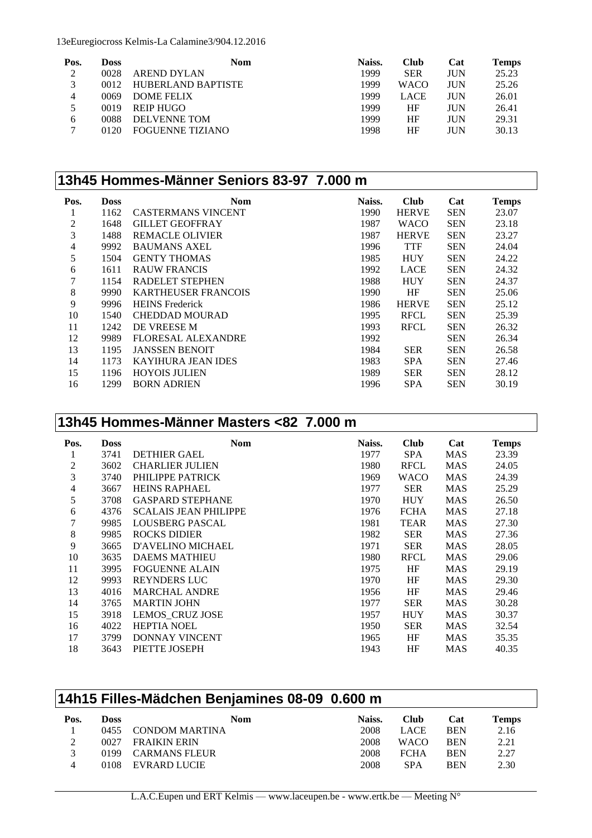13eEuregiocross Kelmis-La Calamine3/904.12.2016

| Pos.         | Doss | <b>Nom</b>         | Naiss. | <b>Club</b> | Cat        | <b>Temps</b> |
|--------------|------|--------------------|--------|-------------|------------|--------------|
| 2            | 0028 | AREND DYLAN        | 1999   | <b>SER</b>  | JUN        | 25.23        |
| 3            | 0012 | HUBERLAND BAPTISTE | 1999   | <b>WACO</b> | JUN        | 25.26        |
| 4            | 0069 | <b>DOME FELIX</b>  | 1999   | <b>LACE</b> | JUN        | 26.01        |
|              | 0019 | <b>REIP HUGO</b>   | 1999   | HF          | JUN        | 26.41        |
| <sub>b</sub> | 0088 | DELVENNE TOM       | 1999   | HF          | <b>JUN</b> | 29.31        |
|              | 0120 | FOGUENNE TIZIANO   | 1998   | HF          | JUN        | 30.13        |

|                |             | 13h45 Hommes-Männer Seniors 83-97 7.000 m |        |              |            |              |
|----------------|-------------|-------------------------------------------|--------|--------------|------------|--------------|
| Pos.           | <b>Doss</b> | <b>Nom</b>                                | Naiss. | <b>Club</b>  | Cat        | <b>Temps</b> |
|                | 1162        | <b>CASTERMANS VINCENT</b>                 | 1990   | <b>HERVE</b> | <b>SEN</b> | 23.07        |
| $\mathfrak{2}$ | 1648        | <b>GILLET GEOFFRAY</b>                    | 1987   | WACO         | <b>SEN</b> | 23.18        |
| 3              | 1488        | <b>REMACLE OLIVIER</b>                    | 1987   | <b>HERVE</b> | <b>SEN</b> | 23.27        |
| $\overline{4}$ | 9992        | <b>BAUMANS AXEL</b>                       | 1996   | <b>TTF</b>   | <b>SEN</b> | 24.04        |
| 5              | 1504        | <b>GENTY THOMAS</b>                       | 1985   | <b>HUY</b>   | <b>SEN</b> | 24.22        |
| 6              | 1611        | <b>RAUW FRANCIS</b>                       | 1992   | <b>LACE</b>  | <b>SEN</b> | 24.32        |
| 7              | 1154        | <b>RADELET STEPHEN</b>                    | 1988   | <b>HUY</b>   | <b>SEN</b> | 24.37        |
| 8              | 9990        | <b>KARTHEUSER FRANCOIS</b>                | 1990   | HF           | <b>SEN</b> | 25.06        |
| 9              | 9996        | <b>HEINS</b> Frederick                    | 1986   | <b>HERVE</b> | <b>SEN</b> | 25.12        |
| 10             | 1540        | CHEDDAD MOURAD                            | 1995   | <b>RFCL</b>  | <b>SEN</b> | 25.39        |
| 11             | 1242        | DE VREESE M                               | 1993   | <b>RFCL</b>  | <b>SEN</b> | 26.32        |
| 12             | 9989        | <b>FLORESAL ALEXANDRE</b>                 | 1992   |              | <b>SEN</b> | 26.34        |
| 13             | 1195        | <b>JANSSEN BENOIT</b>                     | 1984   | <b>SER</b>   | <b>SEN</b> | 26.58        |
| 14             | 1173        | <b>KAYIHURA JEAN IDES</b>                 | 1983   | <b>SPA</b>   | <b>SEN</b> | 27.46        |
| 15             | 1196        | <b>HOYOIS JULIEN</b>                      | 1989   | <b>SER</b>   | <b>SEN</b> | 28.12        |
| 16             | 1299        | <b>BORN ADRIEN</b>                        | 1996   | <b>SPA</b>   | <b>SEN</b> | 30.19        |

### **13h45 Hommes-Männer Masters <82 7.000 m**

| Pos. | <b>Doss</b> | <b>Nom</b>                   | Naiss. | <b>Club</b> | Cat        | <b>Temps</b> |
|------|-------------|------------------------------|--------|-------------|------------|--------------|
| 1    | 3741        | <b>DETHIER GAEL</b>          | 1977   | <b>SPA</b>  | <b>MAS</b> | 23.39        |
| 2    | 3602        | <b>CHARLIER JULIEN</b>       | 1980   | <b>RFCL</b> | <b>MAS</b> | 24.05        |
| 3    | 3740        | PHILIPPE PATRICK             | 1969   | WACO        | <b>MAS</b> | 24.39        |
| 4    | 3667        | <b>HEINS RAPHAEL</b>         | 1977   | <b>SER</b>  | <b>MAS</b> | 25.29        |
| 5    | 3708        | <b>GASPARD STEPHANE</b>      | 1970   | <b>HUY</b>  | <b>MAS</b> | 26.50        |
| 6    | 4376        | <b>SCALAIS JEAN PHILIPPE</b> | 1976   | <b>FCHA</b> | <b>MAS</b> | 27.18        |
| 7    | 9985        | <b>LOUSBERG PASCAL</b>       | 1981   | <b>TEAR</b> | <b>MAS</b> | 27.30        |
| 8    | 9985        | <b>ROCKS DIDIER</b>          | 1982   | <b>SER</b>  | MAS        | 27.36        |
| 9    | 3665        | D'AVELINO MICHAEL            | 1971   | <b>SER</b>  | MAS        | 28.05        |
| 10   | 3635        | <b>DAEMS MATHIEU</b>         | 1980   | <b>RFCL</b> | <b>MAS</b> | 29.06        |
| 11   | 3995        | <b>FOGUENNE ALAIN</b>        | 1975   | HF          | <b>MAS</b> | 29.19        |
| 12   | 9993        | <b>REYNDERS LUC</b>          | 1970   | HF          | <b>MAS</b> | 29.30        |
| 13   | 4016        | <b>MARCHAL ANDRE</b>         | 1956   | HF          | MAS        | 29.46        |
| 14   | 3765        | <b>MARTIN JOHN</b>           | 1977   | <b>SER</b>  | MAS        | 30.28        |
| 15   | 3918        | <b>LEMOS_CRUZ JOSE</b>       | 1957   | <b>HUY</b>  | MAS        | 30.37        |
| 16   | 4022        | <b>HEPTIA NOEL</b>           | 1950   | <b>SER</b>  | MAS        | 32.54        |
| 17   | 3799        | DONNAY VINCENT               | 1965   | HF          | MAS        | 35.35        |
| 18   | 3643        | PIETTE JOSEPH                | 1943   | HF          | MAS        | 40.35        |

| 14h15 Filles-Mädchen Benjamines 08-09 0.600 m |             |                       |        |             |            |              |  |
|-----------------------------------------------|-------------|-----------------------|--------|-------------|------------|--------------|--|
| Pos.                                          | <b>Doss</b> | <b>Nom</b>            | Naiss. | <b>Club</b> | Cat        | <b>Temps</b> |  |
|                                               | 0455        | <b>CONDOM MARTINA</b> | 2008   | <b>LACE</b> | <b>BEN</b> | 2.16         |  |
| 2                                             | 0027        | <b>FRAIKIN ERIN</b>   | 2008   | <b>WACO</b> | <b>BEN</b> | 2.21         |  |
| 3                                             | 0199        | <b>CARMANS FLEUR</b>  | 2008   | <b>FCHA</b> | <b>BEN</b> | 2.27         |  |
| 4                                             | 0108        | EVRARD LUCIE          | 2008   | <b>SPA</b>  | <b>BEN</b> | 2.30         |  |

L.A.C.Eupen und ERT Kelmis — www.laceupen.be - www.ertk.be — Meeting N°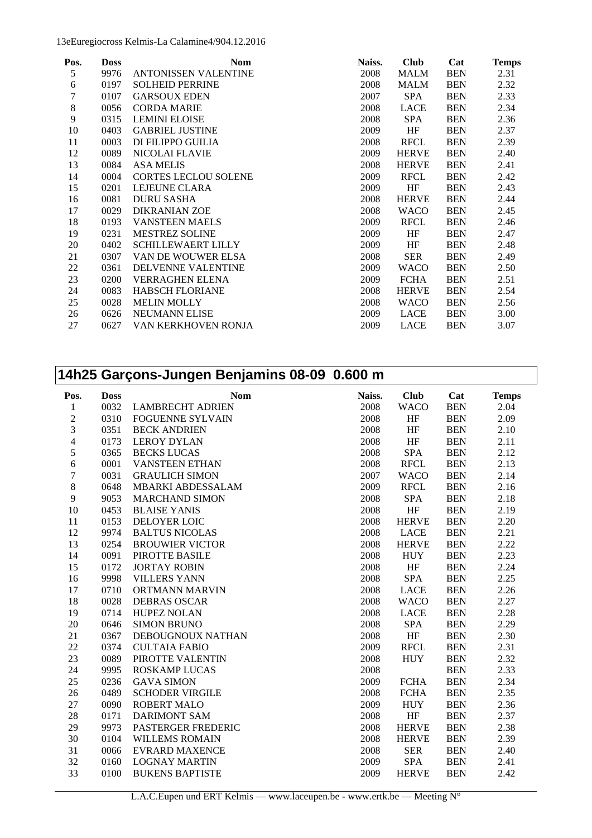13eEuregiocross Kelmis-La Calamine4/904.12.2016

| Pos.  | <b>Doss</b> | <b>Nom</b>                  | Naiss. | <b>Club</b>  | Cat        | <b>Temps</b> |
|-------|-------------|-----------------------------|--------|--------------|------------|--------------|
| 5     | 9976        | ANTONISSEN VALENTINE        | 2008   | MALM         | <b>BEN</b> | 2.31         |
| 6     | 0197        | <b>SOLHEID PERRINE</b>      | 2008   | MALM         | <b>BEN</b> | 2.32         |
| 7     | 0107        | <b>GARSOUX EDEN</b>         | 2007   | <b>SPA</b>   | <b>BEN</b> | 2.33         |
| $8\,$ | 0056        | <b>CORDA MARIE</b>          | 2008   | LACE         | <b>BEN</b> | 2.34         |
| 9     | 0315        | <b>LEMINI ELOISE</b>        | 2008   | <b>SPA</b>   | <b>BEN</b> | 2.36         |
| 10    | 0403        | <b>GABRIEL JUSTINE</b>      | 2009   | HF           | <b>BEN</b> | 2.37         |
| 11    | 0003        | DI FILIPPO GUILIA           | 2008   | <b>RFCL</b>  | <b>BEN</b> | 2.39         |
| 12    | 0089        | <b>NICOLAI FLAVIE</b>       | 2009   | <b>HERVE</b> | <b>BEN</b> | 2.40         |
| 13    | 0084        | <b>ASA MELIS</b>            | 2008   | <b>HERVE</b> | <b>BEN</b> | 2.41         |
| 14    | 0004        | <b>CORTES LECLOU SOLENE</b> | 2009   | <b>RFCL</b>  | <b>BEN</b> | 2.42         |
| 15    | 0201        | <b>LEJEUNE CLARA</b>        | 2009   | HF           | <b>BEN</b> | 2.43         |
| 16    | 0081        | <b>DURU SASHA</b>           | 2008   | <b>HERVE</b> | <b>BEN</b> | 2.44         |
| 17    | 0029        | <b>DIKRANIAN ZOE</b>        | 2008   | <b>WACO</b>  | <b>BEN</b> | 2.45         |
| 18    | 0193        | <b>VANSTEEN MAELS</b>       | 2009   | <b>RFCL</b>  | <b>BEN</b> | 2.46         |
| 19    | 0231        | <b>MESTREZ SOLINE</b>       | 2009   | HF           | <b>BEN</b> | 2.47         |
| 20    | 0402        | <b>SCHILLEWAERT LILLY</b>   | 2009   | HF           | <b>BEN</b> | 2.48         |
| 21    | 0307        | VAN DE WOUWER ELSA          | 2008   | <b>SER</b>   | <b>BEN</b> | 2.49         |
| 22    | 0361        | <b>DELVENNE VALENTINE</b>   | 2009   | <b>WACO</b>  | <b>BEN</b> | 2.50         |
| 23    | 0200        | <b>VERRAGHEN ELENA</b>      | 2009   | <b>FCHA</b>  | <b>BEN</b> | 2.51         |
| 24    | 0083        | <b>HABSCH FLORIANE</b>      | 2008   | <b>HERVE</b> | <b>BEN</b> | 2.54         |
| 25    | 0028        | <b>MELIN MOLLY</b>          | 2008   | <b>WACO</b>  | <b>BEN</b> | 2.56         |
| 26    | 0626        | <b>NEUMANN ELISE</b>        | 2009   | LACE         | <b>BEN</b> | 3.00         |
| 27    | 0627        | VAN KERKHOVEN RONJA         | 2009   | <b>LACE</b>  | <b>BEN</b> | 3.07         |

|                          |             | 14h25 Garçons-Jungen Benjamins 08-09 0.600 m |        |              |            |              |
|--------------------------|-------------|----------------------------------------------|--------|--------------|------------|--------------|
| Pos.                     | <b>Doss</b> | <b>Nom</b>                                   | Naiss. | <b>Club</b>  | Cat        | <b>Temps</b> |
| 1                        | 0032        | <b>LAMBRECHT ADRIEN</b>                      | 2008   | <b>WACO</b>  | <b>BEN</b> | 2.04         |
| $\overline{c}$           | 0310        | <b>FOGUENNE SYLVAIN</b>                      | 2008   | HF           | <b>BEN</b> | 2.09         |
| 3                        | 0351        | <b>BECK ANDRIEN</b>                          | 2008   | HF           | <b>BEN</b> | 2.10         |
| $\overline{\mathcal{L}}$ | 0173        | <b>LEROY DYLAN</b>                           | 2008   | HF           | <b>BEN</b> | 2.11         |
| 5                        | 0365        | <b>BECKS LUCAS</b>                           | 2008   | <b>SPA</b>   | <b>BEN</b> | 2.12         |
| 6                        | 0001        | <b>VANSTEEN ETHAN</b>                        | 2008   | <b>RFCL</b>  | <b>BEN</b> | 2.13         |
| 7                        | 0031        | <b>GRAULICH SIMON</b>                        | 2007   | <b>WACO</b>  | <b>BEN</b> | 2.14         |
| 8                        | 0648        | <b>MBARKI ABDESSALAM</b>                     | 2009   | <b>RFCL</b>  | <b>BEN</b> | 2.16         |
| 9                        | 9053        | <b>MARCHAND SIMON</b>                        | 2008   | <b>SPA</b>   | <b>BEN</b> | 2.18         |
| 10                       | 0453        | <b>BLAISE YANIS</b>                          | 2008   | HF           | <b>BEN</b> | 2.19         |
| 11                       | 0153        | DELOYER LOIC                                 | 2008   | <b>HERVE</b> | <b>BEN</b> | 2.20         |
| 12                       | 9974        | <b>BALTUS NICOLAS</b>                        | 2008   | <b>LACE</b>  | <b>BEN</b> | 2.21         |
| 13                       | 0254        | <b>BROUWIER VICTOR</b>                       | 2008   | <b>HERVE</b> | <b>BEN</b> | 2.22         |
| 14                       | 0091        | PIROTTE BASILE                               | 2008   | <b>HUY</b>   | <b>BEN</b> | 2.23         |
| 15                       | 0172        | <b>JORTAY ROBIN</b>                          | 2008   | HF           | <b>BEN</b> | 2.24         |
| 16                       | 9998        | <b>VILLERS YANN</b>                          | 2008   | <b>SPA</b>   | <b>BEN</b> | 2.25         |
| 17                       | 0710        | ORTMANN MARVIN                               | 2008   | <b>LACE</b>  | <b>BEN</b> | 2.26         |
| 18                       | 0028        | <b>DEBRAS OSCAR</b>                          | 2008   | <b>WACO</b>  | <b>BEN</b> | 2.27         |
| 19                       | 0714        | <b>HUPEZ NOLAN</b>                           | 2008   | LACE         | <b>BEN</b> | 2.28         |
| 20                       | 0646        | <b>SIMON BRUNO</b>                           | 2008   | <b>SPA</b>   | <b>BEN</b> | 2.29         |
| 21                       | 0367        | DEBOUGNOUX NATHAN                            | 2008   | HF           | <b>BEN</b> | 2.30         |
| 22                       | 0374        | <b>CULTAIA FABIO</b>                         | 2009   | <b>RFCL</b>  | <b>BEN</b> | 2.31         |
| 23                       | 0089        | PIROTTE VALENTIN                             | 2008   | <b>HUY</b>   | <b>BEN</b> | 2.32         |
| 24                       | 9995        | ROSKAMP LUCAS                                | 2008   |              | <b>BEN</b> | 2.33         |
| 25                       | 0236        | <b>GAVA SIMON</b>                            | 2009   | <b>FCHA</b>  | <b>BEN</b> | 2.34         |
| 26                       | 0489        | <b>SCHODER VIRGILE</b>                       | 2008   | <b>FCHA</b>  | <b>BEN</b> | 2.35         |
| 27                       | 0090        | <b>ROBERT MALO</b>                           | 2009   | <b>HUY</b>   | <b>BEN</b> | 2.36         |
| 28                       | 0171        | <b>DARIMONT SAM</b>                          | 2008   | HF           | <b>BEN</b> | 2.37         |
| 29                       | 9973        | PASTERGER FREDERIC                           | 2008   | <b>HERVE</b> | <b>BEN</b> | 2.38         |
| 30                       | 0104        | <b>WILLEMS ROMAIN</b>                        | 2008   | <b>HERVE</b> | <b>BEN</b> | 2.39         |
| 31                       | 0066        | <b>EVRARD MAXENCE</b>                        | 2008   | <b>SER</b>   | <b>BEN</b> | 2.40         |
| 32                       | 0160        | <b>LOGNAY MARTIN</b>                         | 2009   | SPA          | <b>BEN</b> | 2.41         |
| 33                       | 0100        | <b>BUKENS BAPTISTE</b>                       | 2009   | <b>HERVE</b> | <b>BEN</b> | 2.42         |

L.A.C.Eupen und ERT Kelmis — www.laceupen.be - www.ertk.be — Meeting N°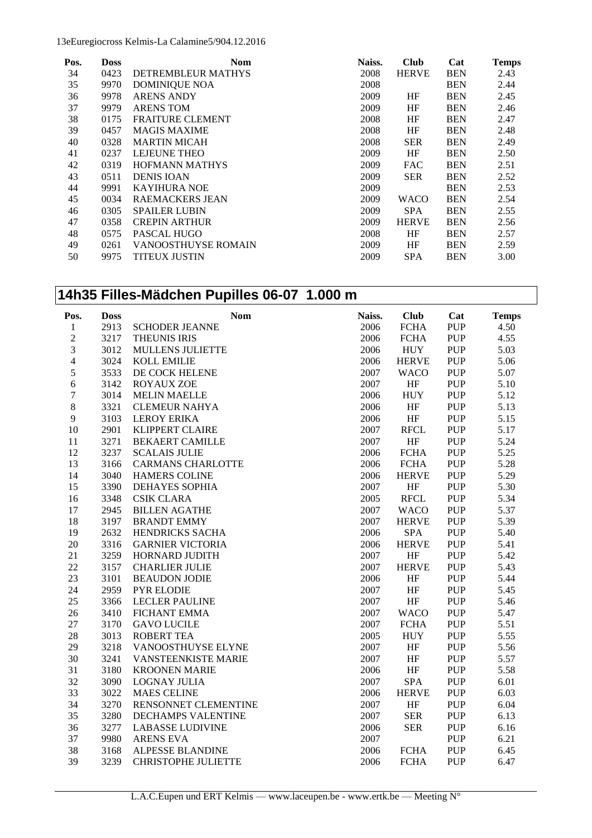13eEuregiocross Kelmis-La Calamine5/904.12.2016

| Pos. | <b>Doss</b> | <b>Nom</b>              | Naiss. | <b>Club</b>  | Cat        | <b>Temps</b> |
|------|-------------|-------------------------|--------|--------------|------------|--------------|
| 34   | 0423        | DETREMBLEUR MATHYS      | 2008   | <b>HERVE</b> | <b>BEN</b> | 2.43         |
| 35   | 9970        | <b>DOMINIQUE NOA</b>    | 2008   |              | <b>BEN</b> | 2.44         |
| 36   | 9978        | <b>ARENS ANDY</b>       | 2009   | HF           | <b>BEN</b> | 2.45         |
| 37   | 9979        | <b>ARENS TOM</b>        | 2009   | HF           | <b>BEN</b> | 2.46         |
| 38   | 0175        | <b>FRAITURE CLEMENT</b> | 2008   | HF           | <b>BEN</b> | 2.47         |
| 39   | 0457        | <b>MAGIS MAXIME</b>     | 2008   | HF           | <b>BEN</b> | 2.48         |
| 40   | 0328        | <b>MARTIN MICAH</b>     | 2008   | <b>SER</b>   | <b>BEN</b> | 2.49         |
| 41   | 0237        | <b>LEJEUNE THEO</b>     | 2009   | HF           | <b>BEN</b> | 2.50         |
| 42   | 0319        | <b>HOFMANN MATHYS</b>   | 2009   | <b>FAC</b>   | <b>BEN</b> | 2.51         |
| 43   | 0511        | <b>DENIS IOAN</b>       | 2009   | <b>SER</b>   | <b>BEN</b> | 2.52         |
| 44   | 9991        | <b>KAYIHURA NOE</b>     | 2009   |              | <b>BEN</b> | 2.53         |
| 45   | 0034        | <b>RAEMACKERS JEAN</b>  | 2009   | <b>WACO</b>  | <b>BEN</b> | 2.54         |
| 46   | 0305        | <b>SPAILER LUBIN</b>    | 2009   | <b>SPA</b>   | <b>BEN</b> | 2.55         |
| 47   | 0358        | <b>CREPIN ARTHUR</b>    | 2009   | <b>HERVE</b> | <b>BEN</b> | 2.56         |
| 48   | 0575        | PASCAL HUGO             | 2008   | HF           | <b>BEN</b> | 2.57         |
| 49   | 0261        | VANOOSTHUYSE ROMAIN     | 2009   | HF           | <b>BEN</b> | 2.59         |
| 50   | 9975        | TITEUX JUSTIN           | 2009   | <b>SPA</b>   | <b>BEN</b> | 3.00         |

#### **14h35 Filles-Mädchen Pupilles 06-07 1.000 m**

| Pos.           | <b>Doss</b> | <b>Nom</b>                 | Naiss. | <b>Club</b>  | Cat         | <b>Temps</b> |
|----------------|-------------|----------------------------|--------|--------------|-------------|--------------|
| 1              | 2913        | <b>SCHODER JEANNE</b>      | 2006   | <b>FCHA</b>  | PUP         | 4.50         |
| $\overline{c}$ | 3217        | THEUNIS IRIS               | 2006   | <b>FCHA</b>  | PUP         | 4.55         |
| 3              | 3012        | MULLENS JULIETTE           | 2006   | <b>HUY</b>   | <b>PUP</b>  | 5.03         |
| $\overline{4}$ | 3024        | <b>KOLL EMILIE</b>         | 2006   | <b>HERVE</b> | <b>PUP</b>  | 5.06         |
| 5              | 3533        | DE COCK HELENE             | 2007   | <b>WACO</b>  | <b>PUP</b>  | 5.07         |
| $\epsilon$     | 3142        | <b>ROYAUX ZOE</b>          | 2007   | HF           | <b>PUP</b>  | 5.10         |
| $\sqrt{ }$     | 3014        | <b>MELIN MAELLE</b>        | 2006   | <b>HUY</b>   | <b>PUP</b>  | 5.12         |
| $\,8$          | 3321        | <b>CLEMEUR NAHYA</b>       | 2006   | $\rm HF$     | ${\bf PUP}$ | 5.13         |
| 9              | 3103        | <b>LEROY ERIKA</b>         | 2006   | $\rm{HF}$    | ${\bf PUP}$ | 5.15         |
| 10             | 2901        | <b>KLIPPERT CLAIRE</b>     | 2007   | <b>RFCL</b>  | <b>PUP</b>  | 5.17         |
| 11             | 3271        | <b>BEKAERT CAMILLE</b>     | 2007   | $\rm{HF}$    | <b>PUP</b>  | 5.24         |
| 12             | 3237        | <b>SCALAIS JULIE</b>       | 2006   | <b>FCHA</b>  | <b>PUP</b>  | 5.25         |
| 13             | 3166        | <b>CARMANS CHARLOTTE</b>   | 2006   | <b>FCHA</b>  | <b>PUP</b>  | 5.28         |
| 14             | 3040        | <b>HAMERS COLINE</b>       | 2006   | <b>HERVE</b> | <b>PUP</b>  | 5.29         |
| 15             | 3390        | <b>DEHAYES SOPHIA</b>      | 2007   | $\rm{HF}$    | <b>PUP</b>  | 5.30         |
| 16             | 3348        | <b>CSIK CLARA</b>          | 2005   | <b>RFCL</b>  | ${\bf PUP}$ | 5.34         |
| 17             | 2945        | <b>BILLEN AGATHE</b>       | 2007   | <b>WACO</b>  | <b>PUP</b>  | 5.37         |
| 18             | 3197        | <b>BRANDT EMMY</b>         | 2007   | <b>HERVE</b> | PUP         | 5.39         |
| 19             | 2632        | HENDRICKS SACHA            | 2006   | SPA          | <b>PUP</b>  | 5.40         |
| 20             | 3316        | <b>GARNIER VICTORIA</b>    | 2006   | <b>HERVE</b> | <b>PUP</b>  | 5.41         |
| 21             | 3259        | HORNARD JUDITH             | 2007   | HF           | <b>PUP</b>  | 5.42         |
| 22             | 3157        | <b>CHARLIER JULIE</b>      | 2007   | <b>HERVE</b> | <b>PUP</b>  | 5.43         |
| 23             | 3101        | <b>BEAUDON JODIE</b>       | 2006   | HF           | <b>PUP</b>  | 5.44         |
| 24             | 2959        | <b>PYR ELODIE</b>          | 2007   | HF           | <b>PUP</b>  | 5.45         |
| 25             | 3366        | <b>LECLER PAULINE</b>      | 2007   | $\rm{HF}$    | <b>PUP</b>  | 5.46         |
| 26             | 3410        | <b>FICHANT EMMA</b>        | 2007   | <b>WACO</b>  | <b>PUP</b>  | 5.47         |
| 27             | 3170        | <b>GAVO LUCILE</b>         | 2007   | <b>FCHA</b>  | ${\bf PUP}$ | 5.51         |
| 28             | 3013        | <b>ROBERT TEA</b>          | 2005   | <b>HUY</b>   | ${\bf PUP}$ | 5.55         |
| 29             | 3218        | VANOOSTHUYSE ELYNE         | 2007   | $\rm{HF}$    | <b>PUP</b>  | 5.56         |
| 30             | 3241        | VANSTEENKISTE MARIE        | 2007   | $\rm{HF}$    | <b>PUP</b>  | 5.57         |
| 31             | 3180        | <b>KROONEN MARIE</b>       | 2006   | $\rm{HF}$    | <b>PUP</b>  | 5.58         |
| 32             | 3090        | <b>LOGNAY JULIA</b>        | 2007   | SPA          | <b>PUP</b>  | 6.01         |
| 33             | 3022        | <b>MAES CELINE</b>         | 2006   | <b>HERVE</b> | <b>PUP</b>  | 6.03         |
| 34             | 3270        | RENSONNET CLEMENTINE       | 2007   | HF           | ${\bf PUP}$ | 6.04         |
| 35             | 3280        | DECHAMPS VALENTINE         | 2007   | <b>SER</b>   | <b>PUP</b>  | 6.13         |
| 36             | 3277        | <b>LABASSE LUDIVINE</b>    | 2006   | <b>SER</b>   | <b>PUP</b>  | 6.16         |
| 37             | 9980        | <b>ARENS EVA</b>           | 2007   |              | <b>PUP</b>  | 6.21         |
| 38             | 3168        | ALPESSE BLANDINE           | 2006   | <b>FCHA</b>  | <b>PUP</b>  | 6.45         |
| 39             | 3239        | <b>CHRISTOPHE JULIETTE</b> | 2006   | <b>FCHA</b>  | <b>PUP</b>  | 6.47         |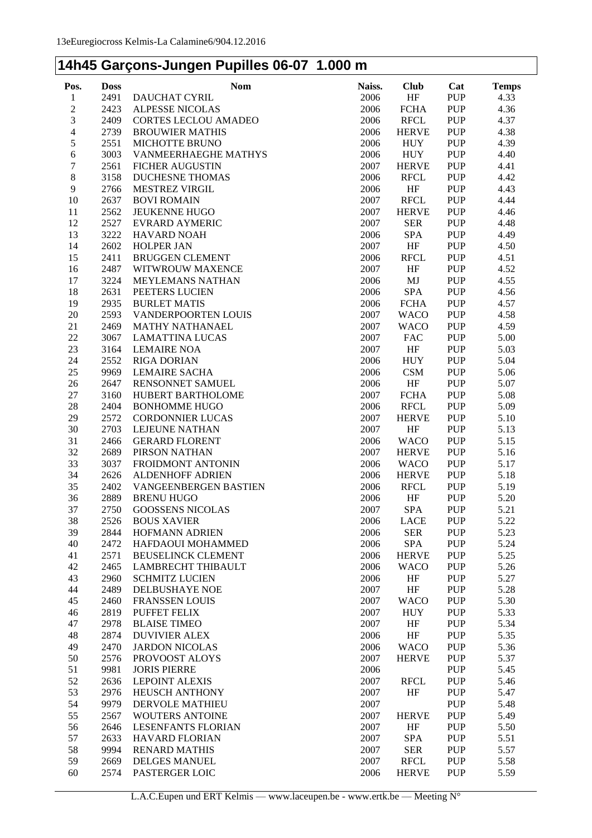#### **14h45 Garçons-Jungen Pupilles 06-07 1.000 m**

| Pos.             | <b>Doss</b>  | <b>Nom</b>                               | Naiss.       | <b>Club</b>  | Cat                      | <b>Temps</b> |
|------------------|--------------|------------------------------------------|--------------|--------------|--------------------------|--------------|
| $\mathbf{1}$     | 2491         | DAUCHAT CYRIL                            | 2006         | HF           | PUP                      | 4.33         |
| $\sqrt{2}$       | 2423         | <b>ALPESSE NICOLAS</b>                   | 2006         | <b>FCHA</b>  | <b>PUP</b>               | 4.36         |
| $\mathfrak{Z}$   | 2409         | <b>CORTES LECLOU AMADEO</b>              | 2006         | <b>RFCL</b>  | <b>PUP</b>               | 4.37         |
| $\overline{4}$   | 2739         | <b>BROUWIER MATHIS</b>                   | 2006         | <b>HERVE</b> | <b>PUP</b>               | 4.38         |
| 5                | 2551         | <b>MICHOTTE BRUNO</b>                    | 2006         | <b>HUY</b>   | <b>PUP</b>               | 4.39         |
| 6                | 3003         | VANMEERHAEGHE MATHYS                     | 2006         | <b>HUY</b>   | <b>PUP</b>               | 4.40         |
| $\sqrt{ }$       | 2561         | <b>FICHER AUGUSTIN</b>                   | 2007         | <b>HERVE</b> | <b>PUP</b>               | 4.41         |
| $\boldsymbol{8}$ | 3158         | <b>DUCHESNE THOMAS</b>                   | 2006         | <b>RFCL</b>  | <b>PUP</b>               | 4.42         |
| 9                | 2766         | <b>MESTREZ VIRGIL</b>                    | 2006         | HF           | <b>PUP</b>               | 4.43         |
| 10               | 2637         | <b>BOVI ROMAIN</b>                       | 2007         | <b>RFCL</b>  | <b>PUP</b>               | 4.44         |
| 11               | 2562         | <b>JEUKENNE HUGO</b>                     | 2007         | <b>HERVE</b> | <b>PUP</b>               | 4.46         |
| 12               | 2527         | <b>EVRARD AYMERIC</b>                    | 2007         | <b>SER</b>   | <b>PUP</b>               | 4.48         |
| 13               | 3222         | <b>HAVARD NOAH</b>                       | 2006         | <b>SPA</b>   | <b>PUP</b>               | 4.49         |
| 14               | 2602         | <b>HOLPER JAN</b>                        | 2007         | HF           | <b>PUP</b>               | 4.50         |
| 15               | 2411         | <b>BRUGGEN CLEMENT</b>                   | 2006         | <b>RFCL</b>  | <b>PUP</b>               | 4.51         |
| 16               | 2487         | WITWROUW MAXENCE                         | 2007         | HF           | <b>PUP</b>               | 4.52         |
| 17               | 3224         | <b>MEYLEMANS NATHAN</b>                  | 2006         | MJ           | <b>PUP</b>               | 4.55         |
| 18               | 2631         | PEETERS LUCIEN                           | 2006         | <b>SPA</b>   | <b>PUP</b>               | 4.56         |
| 19               | 2935         | <b>BURLET MATIS</b>                      | 2006         | <b>FCHA</b>  | <b>PUP</b>               | 4.57         |
| 20               | 2593         | VANDERPOORTEN LOUIS                      | 2007         | <b>WACO</b>  | <b>PUP</b>               | 4.58         |
| 21               | 2469         | <b>MATHY NATHANAEL</b>                   | 2007         | <b>WACO</b>  | <b>PUP</b>               | 4.59         |
| 22               | 3067         | <b>LAMATTINA LUCAS</b>                   | 2007         | <b>FAC</b>   | <b>PUP</b>               | 5.00         |
| 23               | 3164         | <b>LEMAIRE NOA</b>                       | 2007         | HF           | <b>PUP</b>               | 5.03         |
| 24               | 2552         | <b>RIGA DORIAN</b>                       | 2006         | <b>HUY</b>   | <b>PUP</b>               | 5.04         |
| 25               | 9969         | <b>LEMAIRE SACHA</b>                     | 2006         | CSM          | <b>PUP</b>               | 5.06         |
| 26               | 2647         | RENSONNET SAMUEL                         | 2006         | HF           | <b>PUP</b>               | 5.07         |
| 27               | 3160         | HUBERT BARTHOLOME                        | 2007         | <b>FCHA</b>  | <b>PUP</b>               | 5.08         |
| 28               | 2404         | <b>BONHOMME HUGO</b>                     | 2006         | <b>RFCL</b>  | <b>PUP</b>               | 5.09         |
| 29               | 2572         | <b>CORDONNIER LUCAS</b>                  | 2007         | <b>HERVE</b> | <b>PUP</b>               | 5.10         |
| 30               | 2703         | LEJEUNE NATHAN                           | 2007         | HF           | <b>PUP</b>               | 5.13         |
| 31               | 2466         | <b>GERARD FLORENT</b>                    | 2006         | <b>WACO</b>  | <b>PUP</b>               | 5.15         |
| 32               | 2689         | PIRSON NATHAN                            | 2007         | <b>HERVE</b> | <b>PUP</b>               | 5.16         |
| 33               | 3037         | FROIDMONT ANTONIN                        | 2006         | <b>WACO</b>  | <b>PUP</b>               | 5.17         |
| 34               | 2626         | <b>ALDENHOFF ADRIEN</b>                  | 2006         | <b>HERVE</b> | <b>PUP</b>               | 5.18         |
| 35               | 2402         | VANGEENBERGEN BASTIEN                    | 2006         | <b>RFCL</b>  | <b>PUP</b>               | 5.19         |
| 36               | 2889         | <b>BRENU HUGO</b>                        | 2006         | HF           | <b>PUP</b>               | 5.20         |
| 37               | 2750         | <b>GOOSSENS NICOLAS</b>                  | 2007         | <b>SPA</b>   | <b>PUP</b>               | 5.21         |
| 38               | 2526         | <b>BOUS XAVIER</b>                       | 2006         | LACE         | PUP                      | 5.22         |
| 39               | 2844         | HOFMANN ADRIEN                           | 2006         | <b>SER</b>   | <b>PUP</b>               | 5.23         |
| 40               | 2472         | HAFDAOUI MOHAMMED                        | 2006         | <b>SPA</b>   | <b>PUP</b>               | 5.24         |
| 41               | 2571         | <b>BEUSELINCK CLEMENT</b>                | 2006         | <b>HERVE</b> | <b>PUP</b>               | 5.25         |
| 42               | 2465         | <b>LAMBRECHT THIBAULT</b>                | 2006         | <b>WACO</b>  | <b>PUP</b>               | 5.26         |
| 43               | 2960         | <b>SCHMITZ LUCIEN</b>                    | 2006         | HF           | <b>PUP</b>               | 5.27         |
| 44               | 2489         | <b>DELBUSHAYE NOE</b>                    | 2007         | HF           | <b>PUP</b>               | 5.28         |
| 45               | 2460         | <b>FRANSSEN LOUIS</b>                    | 2007         | <b>WACO</b>  | <b>PUP</b>               | 5.30         |
| 46               | 2819         | PUFFET FELIX                             | 2007         | <b>HUY</b>   | <b>PUP</b>               | 5.33         |
| 47               | 2978         | <b>BLAISE TIMEO</b>                      | 2007         | HF           | <b>PUP</b>               | 5.34         |
| 48               | 2874         | <b>DUVIVIER ALEX</b>                     | 2006         | HF           | <b>PUP</b>               | 5.35         |
| 49               | 2470<br>2576 | <b>JARDON NICOLAS</b>                    | 2006         | <b>WACO</b>  | <b>PUP</b>               | 5.36<br>5.37 |
| 50               | 9981         | PROVOOST ALOYS<br><b>JORIS PIERRE</b>    | 2007<br>2006 | <b>HERVE</b> | <b>PUP</b><br><b>PUP</b> | 5.45         |
| 51<br>52         | 2636         | <b>LEPOINT ALEXIS</b>                    | 2007         | <b>RFCL</b>  | <b>PUP</b>               | 5.46         |
| 53               |              |                                          |              |              | <b>PUP</b>               | 5.47         |
| 54               | 2976<br>9979 | <b>HEUSCH ANTHONY</b><br>DERVOLE MATHIEU | 2007<br>2007 | HF           | <b>PUP</b>               | 5.48         |
| 55               | 2567         | WOUTERS ANTOINE                          | 2007         | <b>HERVE</b> | <b>PUP</b>               | 5.49         |
| 56               | 2646         | LESENFANTS FLORIAN                       | 2007         | HF           | <b>PUP</b>               | 5.50         |
| 57               | 2633         | <b>HAVARD FLORIAN</b>                    | 2007         | SPA          | <b>PUP</b>               | 5.51         |
| 58               | 9994         | <b>RENARD MATHIS</b>                     | 2007         | <b>SER</b>   | <b>PUP</b>               | 5.57         |
| 59               | 2669         | <b>DELGES MANUEL</b>                     | 2007         | <b>RFCL</b>  | <b>PUP</b>               | 5.58         |
| 60               | 2574         | PASTERGER LOIC                           | 2006         | <b>HERVE</b> | <b>PUP</b>               | 5.59         |
|                  |              |                                          |              |              |                          |              |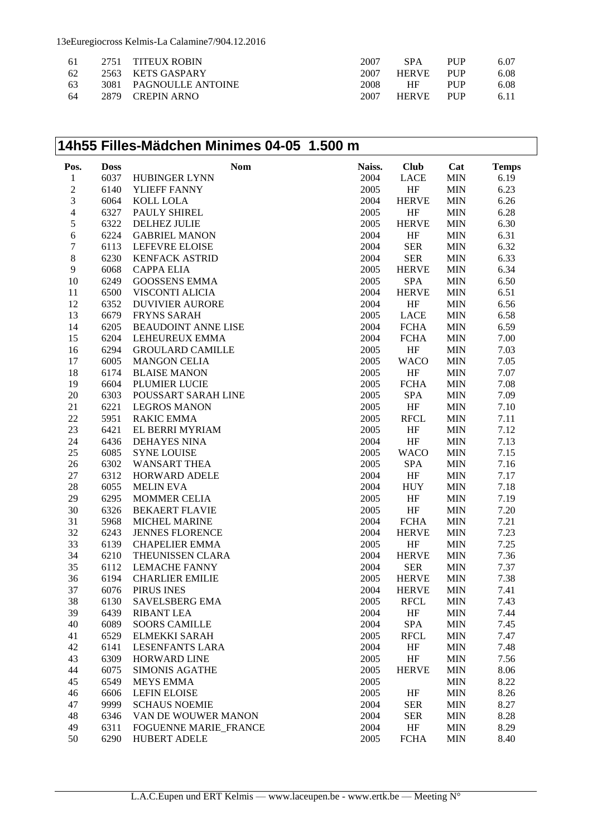13eEuregiocross Kelmis-La Calamine7/904.12.2016

| -61 | 2751 TITEUX ROBIN      | 2007 | <b>SPA</b>   | <b>PHP</b> | 6.07 |
|-----|------------------------|------|--------------|------------|------|
| 62  | 2563 KETS GASPARY      | 2007 | <b>HERVE</b> | <b>PHP</b> | 6.08 |
| 63  | 3081 PAGNOULLE ANTOINE | 2008 | HF           | <b>PHP</b> | 6.08 |
| 64  | 2879 CREPIN ARNO       | 2007 | <b>HERVE</b> | <b>PHP</b> | 6.11 |

#### **14h55 Filles-Mädchen Minimes 04-05 1.500 m**

| Pos.                     | <b>Doss</b> | Nom                        | Naiss. | <b>Club</b>  | Cat        | <b>Temps</b> |
|--------------------------|-------------|----------------------------|--------|--------------|------------|--------------|
| $\mathbf{1}$             | 6037        | HUBINGER LYNN              | 2004   | <b>LACE</b>  | <b>MIN</b> | 6.19         |
| $\overline{c}$           | 6140        | YLIEFF FANNY               | 2005   | HF           | <b>MIN</b> | 6.23         |
| 3                        | 6064        | KOLL LOLA                  | 2004   | <b>HERVE</b> | <b>MIN</b> | 6.26         |
| $\overline{\mathcal{L}}$ | 6327        | PAULY SHIREL               | 2005   | HF           | <b>MIN</b> | 6.28         |
| 5                        | 6322        | <b>DELHEZ JULIE</b>        | 2005   | <b>HERVE</b> | <b>MIN</b> | 6.30         |
| 6                        | 6224        | <b>GABRIEL MANON</b>       | 2004   | HF           | <b>MIN</b> | 6.31         |
| 7                        | 6113        | LEFEVRE ELOISE             | 2004   | <b>SER</b>   | <b>MIN</b> | 6.32         |
| 8                        | 6230        | <b>KENFACK ASTRID</b>      | 2004   | <b>SER</b>   | <b>MIN</b> | 6.33         |
| 9                        | 6068        | <b>CAPPA ELIA</b>          | 2005   | <b>HERVE</b> | <b>MIN</b> | 6.34         |
| 10                       | 6249        | <b>GOOSSENS EMMA</b>       | 2005   | <b>SPA</b>   | <b>MIN</b> | 6.50         |
| 11                       | 6500        | VISCONTI ALICIA            | 2004   | <b>HERVE</b> | <b>MIN</b> | 6.51         |
| 12                       | 6352        | <b>DUVIVIER AURORE</b>     | 2004   | HF           | <b>MIN</b> | 6.56         |
| 13                       | 6679        | <b>FRYNS SARAH</b>         | 2005   | <b>LACE</b>  | <b>MIN</b> | 6.58         |
| 14                       | 6205        | <b>BEAUDOINT ANNE LISE</b> | 2004   | <b>FCHA</b>  | <b>MIN</b> | 6.59         |
| 15                       | 6204        | LEHEUREUX EMMA             | 2004   | <b>FCHA</b>  | <b>MIN</b> | 7.00         |
| 16                       | 6294        | <b>GROULARD CAMILLE</b>    | 2005   | HF           | <b>MIN</b> | 7.03         |
| 17                       | 6005        | <b>MANGON CELIA</b>        | 2005   | <b>WACO</b>  | <b>MIN</b> | 7.05         |
| 18                       | 6174        | <b>BLAISE MANON</b>        | 2005   | HF           | <b>MIN</b> | 7.07         |
| 19                       | 6604        | PLUMIER LUCIE              | 2005   | <b>FCHA</b>  | <b>MIN</b> | 7.08         |
| 20                       | 6303        | POUSSART SARAH LINE        | 2005   | <b>SPA</b>   | <b>MIN</b> | 7.09         |
| 21                       | 6221        | <b>LEGROS MANON</b>        | 2005   | HF           | <b>MIN</b> | 7.10         |
| 22                       | 5951        | <b>RAKIC EMMA</b>          | 2005   | <b>RFCL</b>  | <b>MIN</b> | 7.11         |
| 23                       | 6421        | EL BERRI MYRIAM            | 2005   | HF           | <b>MIN</b> | 7.12         |
| 24                       | 6436        | <b>DEHAYES NINA</b>        | 2004   | HF           | <b>MIN</b> | 7.13         |
| 25                       | 6085        | <b>SYNE LOUISE</b>         | 2005   | <b>WACO</b>  | <b>MIN</b> | 7.15         |
| 26                       | 6302        | <b>WANSART THEA</b>        | 2005   | SPA          | <b>MIN</b> | 7.16         |
| 27                       | 6312        | HORWARD ADELE              | 2004   | HF           | <b>MIN</b> | 7.17         |
| 28                       | 6055        | <b>MELIN EVA</b>           | 2004   | <b>HUY</b>   | <b>MIN</b> | 7.18         |
| 29                       | 6295        | <b>MOMMER CELIA</b>        | 2005   | HF           | <b>MIN</b> | 7.19         |
| 30                       | 6326        | <b>BEKAERT FLAVIE</b>      | 2005   | HF           | <b>MIN</b> | 7.20         |
| 31                       | 5968        | MICHEL MARINE              | 2004   | <b>FCHA</b>  | <b>MIN</b> | 7.21         |
| 32                       | 6243        | <b>JENNES FLORENCE</b>     | 2004   | <b>HERVE</b> | <b>MIN</b> | 7.23         |
| 33                       | 6139        | <b>CHAPELIER EMMA</b>      | 2005   | HF           | <b>MIN</b> | 7.25         |
| 34                       | 6210        | THEUNISSEN CLARA           | 2004   | <b>HERVE</b> | <b>MIN</b> | 7.36         |
| 35                       | 6112        | <b>LEMACHE FANNY</b>       | 2004   | <b>SER</b>   | <b>MIN</b> | 7.37         |
| 36                       | 6194        | <b>CHARLIER EMILIE</b>     | 2005   | <b>HERVE</b> | <b>MIN</b> | 7.38         |
| 37                       | 6076        | PIRUS INES                 | 2004   | <b>HERVE</b> | <b>MIN</b> | 7.41         |
| 38                       | 6130        | SAVELSBERG EMA             | 2005   | <b>RFCL</b>  | <b>MIN</b> | 7.43         |
| 39                       | 6439        | <b>RIBANT LEA</b>          | 2004   | HF           | <b>MIN</b> | 7.44         |
| 40                       | 6089        | <b>SOORS CAMILLE</b>       | 2004   | SPA          | <b>MIN</b> | 7.45         |
| 41                       | 6529        | ELMEKKI SARAH              | 2005   | <b>RFCL</b>  | MIN        | 7.47         |
| 42                       | 6141        | <b>LESENFANTS LARA</b>     | 2004   | HF           | <b>MIN</b> | 7.48         |
| 43                       | 6309        | <b>HORWARD LINE</b>        | 2005   | HF           | <b>MIN</b> | 7.56         |
| 44                       | 6075        | <b>SIMONIS AGATHE</b>      | 2005   | <b>HERVE</b> | <b>MIN</b> | 8.06         |
| 45                       | 6549        | <b>MEYS EMMA</b>           | 2005   |              | <b>MIN</b> | 8.22         |
| 46                       | 6606        | <b>LEFIN ELOISE</b>        | 2005   | HF           | <b>MIN</b> | 8.26         |
| 47                       | 9999        | <b>SCHAUS NOEMIE</b>       | 2004   | <b>SER</b>   | <b>MIN</b> | 8.27         |
| 48                       | 6346        | VAN DE WOUWER MANON        | 2004   | <b>SER</b>   | MIN        | 8.28         |
| 49                       | 6311        | FOGUENNE MARIE_FRANCE      | 2004   | HF           | <b>MIN</b> | 8.29         |
| 50                       | 6290        | <b>HUBERT ADELE</b>        | 2005   | <b>FCHA</b>  | <b>MIN</b> | 8.40         |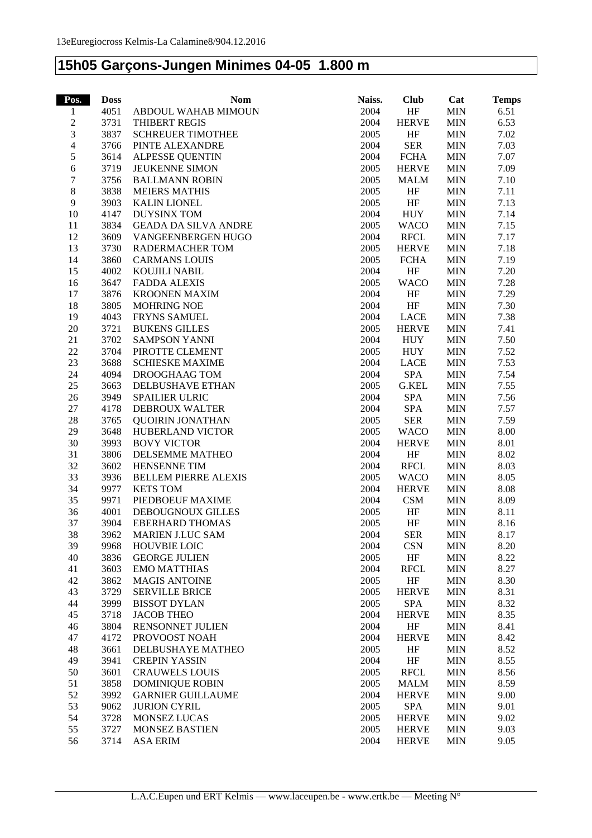#### **15h05 Garçons-Jungen Minimes 04-05 1.800 m**

| Pos.           | <b>Doss</b> | <b>Nom</b>                  | Naiss. | <b>Club</b>  | Cat        | <b>Temps</b> |
|----------------|-------------|-----------------------------|--------|--------------|------------|--------------|
| 1              | 4051        | ABDOUL WAHAB MIMOUN         | 2004   | HF           | <b>MIN</b> | 6.51         |
| $\sqrt{2}$     | 3731        | THIBERT REGIS               | 2004   | <b>HERVE</b> | <b>MIN</b> | 6.53         |
| 3              | 3837        | <b>SCHREUER TIMOTHEE</b>    | 2005   | HF           | <b>MIN</b> | 7.02         |
| $\overline{4}$ | 3766        | PINTE ALEXANDRE             | 2004   | <b>SER</b>   | <b>MIN</b> | 7.03         |
| 5              | 3614        | <b>ALPESSE QUENTIN</b>      | 2004   | <b>FCHA</b>  | <b>MIN</b> | 7.07         |
| $\epsilon$     | 3719        | JEUKENNE SIMON              | 2005   | <b>HERVE</b> | <b>MIN</b> | 7.09         |
| $\tau$         | 3756        | <b>BALLMANN ROBIN</b>       | 2005   | <b>MALM</b>  | <b>MIN</b> | 7.10         |
| $8\,$          | 3838        | <b>MEIERS MATHIS</b>        | 2005   | HF           | <b>MIN</b> | 7.11         |
| $\overline{9}$ | 3903        | <b>KALIN LIONEL</b>         | 2005   | $\rm{HF}$    | <b>MIN</b> | 7.13         |
| 10             | 4147        | <b>DUYSINX TOM</b>          | 2004   | <b>HUY</b>   | <b>MIN</b> | 7.14         |
| 11             | 3834        | <b>GEADA DA SILVA ANDRE</b> | 2005   | <b>WACO</b>  | <b>MIN</b> | 7.15         |
| 12             | 3609        | VANGEENBERGEN HUGO          | 2004   | <b>RFCL</b>  | <b>MIN</b> | 7.17         |
| 13             | 3730        | RADERMACHER TOM             | 2005   | <b>HERVE</b> | <b>MIN</b> | 7.18         |
| 14             | 3860        | <b>CARMANS LOUIS</b>        | 2005   | <b>FCHA</b>  | <b>MIN</b> | 7.19         |
| 15             | 4002        | KOUJILI NABIL               | 2004   | HF           | <b>MIN</b> | 7.20         |
| 16             | 3647        | <b>FADDA ALEXIS</b>         | 2005   | <b>WACO</b>  | <b>MIN</b> | 7.28         |
| 17             | 3876        | <b>KROONEN MAXIM</b>        | 2004   | HF           | <b>MIN</b> | 7.29         |
| 18             | 3805        | <b>MOHRING NOE</b>          | 2004   | HF           | <b>MIN</b> | 7.30         |
| 19             | 4043        | <b>FRYNS SAMUEL</b>         | 2004   | LACE         | <b>MIN</b> | 7.38         |
| $20\,$         | 3721        | <b>BUKENS GILLES</b>        | 2005   | <b>HERVE</b> | <b>MIN</b> | 7.41         |
| 21             | 3702        | <b>SAMPSON YANNI</b>        | 2004   | <b>HUY</b>   | <b>MIN</b> | 7.50         |
| 22             | 3704        | PIROTTE CLEMENT             | 2005   | <b>HUY</b>   | <b>MIN</b> | 7.52         |
| 23             | 3688        | <b>SCHIESKE MAXIME</b>      | 2004   | LACE         | <b>MIN</b> | 7.53         |
| 24             | 4094        | DROOGHAAG TOM               | 2004   | <b>SPA</b>   | <b>MIN</b> | 7.54         |
| 25             | 3663        | DELBUSHAVE ETHAN            | 2005   | G.KEL        | <b>MIN</b> | 7.55         |
| 26             | 3949        | <b>SPAILIER ULRIC</b>       | 2004   | <b>SPA</b>   | <b>MIN</b> | 7.56         |
| $27\,$         | 4178        | DEBROUX WALTER              | 2004   | <b>SPA</b>   | <b>MIN</b> | 7.57         |
| 28             | 3765        | <b>QUOIRIN JONATHAN</b>     | 2005   | <b>SER</b>   | <b>MIN</b> | 7.59         |
| 29             | 3648        | HUBERLAND VICTOR            | 2005   | <b>WACO</b>  | <b>MIN</b> | 8.00         |
| 30             | 3993        | <b>BOVY VICTOR</b>          | 2004   | <b>HERVE</b> | <b>MIN</b> | 8.01         |
| 31             | 3806        | DELSEMME MATHEO             | 2004   | HF           | <b>MIN</b> | 8.02         |
| 32             | 3602        | HENSENNE TIM                | 2004   | <b>RFCL</b>  | <b>MIN</b> | 8.03         |
| 33             | 3936        | BELLEM PIERRE ALEXIS        | 2005   | <b>WACO</b>  | <b>MIN</b> | 8.05         |
| 34             | 9977        | <b>KETS TOM</b>             | 2004   | <b>HERVE</b> | <b>MIN</b> | 8.08         |
| 35             | 9971        | PIEDBOEUF MAXIME            | 2004   | <b>CSM</b>   | <b>MIN</b> | 8.09         |
| 36             | 4001        | <b>DEBOUGNOUX GILLES</b>    | 2005   | HF           | <b>MIN</b> | 8.11         |
| 37             | 3904        | <b>EBERHARD THOMAS</b>      | 2005   | HF           | <b>MIN</b> | 8.16         |
| 38             | 3962        | <b>MARIEN J.LUC SAM</b>     | 2004   | <b>SER</b>   | MIN        | 8.17         |
| 39             | 9968        | <b>HOUVBIE LOIC</b>         | 2004   | <b>CSN</b>   | <b>MIN</b> | 8.20         |
| 40             | 3836        | <b>GEORGE JULIEN</b>        | 2005   | HF           | <b>MIN</b> | 8.22         |
| 41             | 3603        | <b>EMO MATTHIAS</b>         | 2004   | <b>RFCL</b>  | <b>MIN</b> | 8.27         |
| 42             | 3862        | <b>MAGIS ANTOINE</b>        | 2005   | HF           | <b>MIN</b> | 8.30         |
| 43             | 3729        | <b>SERVILLE BRICE</b>       | 2005   | <b>HERVE</b> | <b>MIN</b> | 8.31         |
| 44             | 3999        | <b>BISSOT DYLAN</b>         | 2005   | <b>SPA</b>   | <b>MIN</b> | 8.32         |
| 45             | 3718        | <b>JACOB THEO</b>           | 2004   | <b>HERVE</b> | <b>MIN</b> | 8.35         |
| 46             | 3804        | RENSONNET JULIEN            | 2004   | HF           | <b>MIN</b> | 8.41         |
| 47             | 4172        | PROVOOST NOAH               | 2004   | <b>HERVE</b> | <b>MIN</b> | 8.42         |
| 48             | 3661        | DELBUSHAYE MATHEO           | 2005   | HF           | <b>MIN</b> | 8.52         |
| 49             | 3941        | <b>CREPIN YASSIN</b>        | 2004   | HF           | <b>MIN</b> | 8.55         |
| 50             | 3601        | <b>CRAUWELS LOUIS</b>       | 2005   | <b>RFCL</b>  | <b>MIN</b> | 8.56         |
| 51             | 3858        | <b>DOMINIQUE ROBIN</b>      | 2005   | <b>MALM</b>  | <b>MIN</b> | 8.59         |
| 52             | 3992        | <b>GARNIER GUILLAUME</b>    | 2004   | <b>HERVE</b> | <b>MIN</b> | 9.00         |
| 53             | 9062        | <b>JURION CYRIL</b>         | 2005   | <b>SPA</b>   | <b>MIN</b> | 9.01         |
| 54             | 3728        | MONSEZ LUCAS                | 2005   | <b>HERVE</b> | <b>MIN</b> | 9.02         |
| 55             | 3727        | MONSEZ BASTIEN              | 2005   | <b>HERVE</b> | <b>MIN</b> | 9.03         |
| 56             | 3714        | <b>ASA ERIM</b>             | 2004   | <b>HERVE</b> | <b>MIN</b> | 9.05         |